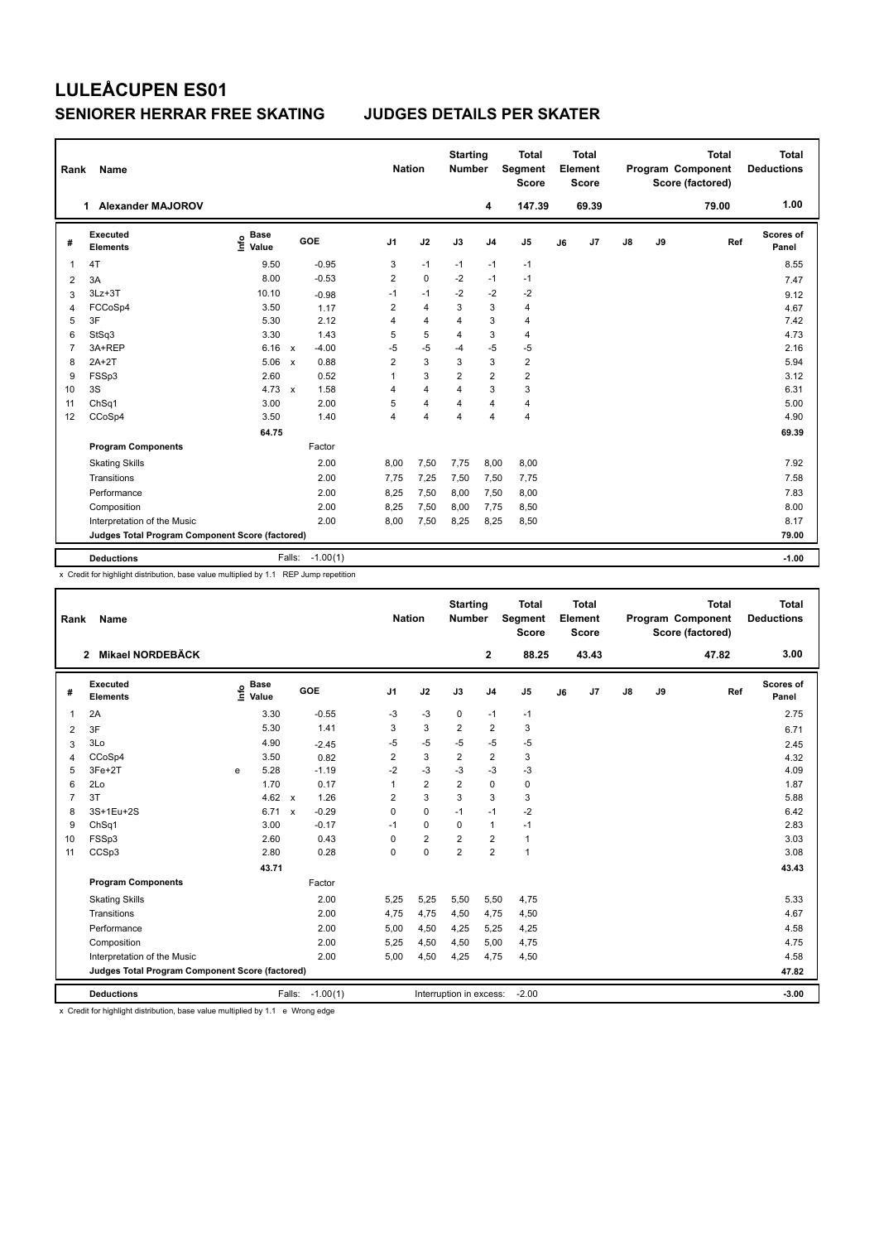## **LULEÅCUPEN ES01 SENIORER HERRAR FREE SKATING JUDGES DETAILS PER SKATER**

| Rank                                            | Name                        | <b>Nation</b>                |                           | <b>Starting</b><br><b>Number</b> |                | <b>Total</b><br>Segment<br><b>Score</b> | Total<br>Element<br><b>Score</b> |                |                         |    | <b>Total</b><br>Program Component<br>Score (factored) | <b>Total</b><br><b>Deductions</b> |       |       |                    |
|-------------------------------------------------|-----------------------------|------------------------------|---------------------------|----------------------------------|----------------|-----------------------------------------|----------------------------------|----------------|-------------------------|----|-------------------------------------------------------|-----------------------------------|-------|-------|--------------------|
|                                                 | 1 Alexander MAJOROV         |                              |                           |                                  |                |                                         |                                  | 4              | 147.39                  |    | 69.39                                                 |                                   |       | 79.00 | 1.00               |
| #                                               | Executed<br><b>Elements</b> | <b>Base</b><br>lnfo<br>Value | GOE                       |                                  | J <sub>1</sub> | J2                                      | J3                               | J <sub>4</sub> | J <sub>5</sub>          | J6 | J7                                                    | $\mathsf{J}8$                     | J9    | Ref   | Scores of<br>Panel |
| 1                                               | 4T                          | 9.50                         |                           | $-0.95$                          | 3              | $-1$                                    | $-1$                             | $-1$           | $-1$                    |    |                                                       |                                   |       |       | 8.55               |
| $\overline{\mathbf{c}}$                         | 3A                          | 8.00                         |                           | $-0.53$                          | $\overline{2}$ | $\mathbf 0$                             | $-2$                             | $-1$           | $-1$                    |    |                                                       |                                   |       |       | 7.47               |
| 3                                               | $3Lz + 3T$                  | 10.10                        |                           | $-0.98$                          | $-1$           | $-1$                                    | $-2$                             | $-2$           | $-2$                    |    |                                                       |                                   |       |       | 9.12               |
| 4                                               | FCCoSp4                     | 3.50                         |                           | 1.17                             | $\overline{2}$ | $\overline{4}$                          | 3                                | 3              | $\overline{4}$          |    |                                                       |                                   |       |       | 4.67               |
| 5                                               | 3F                          | 5.30                         |                           | 2.12                             | 4              | $\overline{4}$                          | 4                                | 3              | $\overline{4}$          |    |                                                       |                                   |       |       | 7.42               |
| 6                                               | StSq3                       | 3.30                         |                           | 1.43                             | 5              | 5                                       | $\overline{4}$                   | 3              | $\overline{4}$          |    |                                                       |                                   |       |       | 4.73               |
| $\overline{7}$                                  | 3A+REP                      | 6.16                         | $\mathsf{x}$              | $-4.00$                          | $-5$           | $-5$                                    | $-4$                             | $-5$           | $-5$                    |    |                                                       |                                   |       |       | 2.16               |
| 8                                               | $2A+2T$                     | 5.06                         | $\boldsymbol{\mathsf{x}}$ | 0.88                             | $\overline{2}$ | 3                                       | 3                                | 3              | $\overline{\mathbf{c}}$ |    |                                                       |                                   |       |       | 5.94               |
| 9                                               | FSSp3                       | 2.60                         |                           | 0.52                             | 1              | 3                                       | $\overline{2}$                   | $\overline{2}$ | $\overline{2}$          |    |                                                       |                                   |       |       | 3.12               |
| 10                                              | 3S                          | 4.73                         | $\mathsf{x}$              | 1.58                             | 4              | $\overline{4}$                          | $\overline{4}$                   | 3              | 3                       |    |                                                       |                                   |       |       | 6.31               |
| 11                                              | ChSq1                       | 3.00                         |                           | 2.00                             | 5              | $\overline{4}$                          | $\overline{\mathbf{4}}$          | $\overline{4}$ | 4                       |    |                                                       |                                   |       |       | 5.00               |
| 12                                              | CCoSp4                      | 3.50                         |                           | 1.40                             | 4              | $\overline{\mathbf{4}}$                 | 4                                | $\overline{4}$ | 4                       |    |                                                       |                                   |       |       | 4.90               |
|                                                 |                             | 64.75                        |                           |                                  |                |                                         |                                  |                |                         |    |                                                       |                                   |       |       | 69.39              |
|                                                 | <b>Program Components</b>   |                              |                           | Factor                           |                |                                         |                                  |                |                         |    |                                                       |                                   |       |       |                    |
|                                                 | <b>Skating Skills</b>       |                              |                           | 2.00                             | 8,00           | 7,50                                    | 7,75                             | 8,00           | 8,00                    |    |                                                       |                                   |       |       | 7.92               |
|                                                 | Transitions                 |                              |                           | 2.00                             | 7,75           | 7,25                                    | 7,50                             | 7,50           | 7,75                    |    |                                                       |                                   |       |       | 7.58               |
|                                                 | Performance                 |                              |                           | 2.00                             | 8,25           | 7,50                                    | 8,00                             | 7,50           | 8,00                    |    |                                                       |                                   |       |       | 7.83               |
|                                                 | Composition                 |                              |                           | 2.00                             | 8,25           | 7,50                                    | 8,00                             | 7,75           | 8,50                    |    |                                                       |                                   |       |       | 8.00               |
|                                                 | Interpretation of the Music |                              |                           | 2.00                             | 8,00           | 7,50                                    | 8,25                             | 8,25           | 8,50                    |    |                                                       |                                   |       |       | 8.17               |
| Judges Total Program Component Score (factored) |                             |                              |                           |                                  |                |                                         |                                  |                |                         |    |                                                       |                                   | 79.00 |       |                    |
|                                                 | <b>Deductions</b>           |                              |                           |                                  |                |                                         |                                  |                |                         |    |                                                       |                                   |       |       | $-1.00$            |
|                                                 |                             |                              | Falls:                    | $-1.00(1)$                       |                |                                         |                                  |                |                         |    |                                                       |                                   |       |       |                    |

x Credit for highlight distribution, base value multiplied by 1.1 REP Jump repetition

| Rank                                            | Name                             | <b>Nation</b> |                                    |              |            | <b>Starting</b><br><b>Number</b> | <b>Total</b><br>Segment<br><b>Score</b> |                         | Total<br>Element<br><b>Score</b> |                |    | <b>Total</b><br>Program Component<br>Score (factored) | <b>Total</b><br><b>Deductions</b> |       |       |                           |
|-------------------------------------------------|----------------------------------|---------------|------------------------------------|--------------|------------|----------------------------------|-----------------------------------------|-------------------------|----------------------------------|----------------|----|-------------------------------------------------------|-----------------------------------|-------|-------|---------------------------|
|                                                 | Mikael NORDEBÄCK<br>$\mathbf{2}$ |               |                                    |              |            |                                  |                                         |                         | $\mathbf{2}$                     | 88.25          |    | 43.43                                                 |                                   |       | 47.82 | 3.00                      |
| #                                               | Executed<br><b>Elements</b>      |               | <b>Base</b><br>$\frac{6}{5}$ Value |              | GOE        | J <sub>1</sub>                   | J2                                      | J3                      | J <sub>4</sub>                   | J <sub>5</sub> | J6 | J7                                                    | $\mathsf{J}8$                     | J9    | Ref   | <b>Scores of</b><br>Panel |
| $\mathbf{1}$                                    | 2A                               |               | 3.30                               |              | $-0.55$    | -3                               | $-3$                                    | 0                       | $-1$                             | $-1$           |    |                                                       |                                   |       |       | 2.75                      |
| $\overline{2}$                                  | 3F                               |               | 5.30                               |              | 1.41       | 3                                | 3                                       | $\overline{2}$          | $\overline{2}$                   | 3              |    |                                                       |                                   |       |       | 6.71                      |
| 3                                               | 3Lo                              |               | 4.90                               |              | $-2.45$    | $-5$                             | $-5$                                    | $-5$                    | $-5$                             | $-5$           |    |                                                       |                                   |       |       | 2.45                      |
| $\overline{4}$                                  | CCoSp4                           |               | 3.50                               |              | 0.82       | 2                                | 3                                       | $\overline{\mathbf{c}}$ | $\overline{2}$                   | 3              |    |                                                       |                                   |       |       | 4.32                      |
| 5                                               | 3Fe+2T                           | e             | 5.28                               |              | $-1.19$    | $-2$                             | $-3$                                    | $-3$                    | $-3$                             | $-3$           |    |                                                       |                                   |       |       | 4.09                      |
| 6                                               | 2Lo                              |               | 1.70                               |              | 0.17       | 1                                | $\overline{2}$                          | $\overline{2}$          | $\mathbf 0$                      | $\pmb{0}$      |    |                                                       |                                   |       |       | 1.87                      |
| 7                                               | 3T                               |               | 4.62                               | $\mathsf{x}$ | 1.26       | 2                                | $\overline{3}$                          | 3                       | 3                                | 3              |    |                                                       |                                   |       |       | 5.88                      |
| 8                                               | 3S+1Eu+2S                        |               | 6.71                               | $\mathsf{x}$ | $-0.29$    | 0                                | $\mathbf 0$                             | $-1$                    | $-1$                             | $-2$           |    |                                                       |                                   |       |       | 6.42                      |
| 9                                               | ChSq1                            |               | 3.00                               |              | $-0.17$    | -1                               | $\mathbf 0$                             | $\Omega$                | $\mathbf{1}$                     | $-1$           |    |                                                       |                                   |       |       | 2.83                      |
| 10                                              | FSSp3                            |               | 2.60                               |              | 0.43       | 0                                | $\overline{2}$                          | $\overline{2}$          | $\overline{2}$                   | $\mathbf{1}$   |    |                                                       |                                   |       |       | 3.03                      |
| 11                                              | CCSp3                            |               | 2.80                               |              | 0.28       | 0                                | $\mathbf 0$                             | $\overline{2}$          | $\overline{2}$                   | $\mathbf{1}$   |    |                                                       |                                   |       |       | 3.08                      |
|                                                 |                                  |               | 43.71                              |              |            |                                  |                                         |                         |                                  |                |    |                                                       |                                   |       |       | 43.43                     |
|                                                 | <b>Program Components</b>        |               |                                    |              | Factor     |                                  |                                         |                         |                                  |                |    |                                                       |                                   |       |       |                           |
|                                                 | <b>Skating Skills</b>            |               |                                    |              | 2.00       | 5,25                             | 5,25                                    | 5,50                    | 5,50                             | 4,75           |    |                                                       |                                   |       |       | 5.33                      |
|                                                 | Transitions                      |               |                                    |              | 2.00       | 4,75                             | 4,75                                    | 4,50                    | 4,75                             | 4,50           |    |                                                       |                                   |       |       | 4.67                      |
|                                                 | Performance                      |               |                                    |              | 2.00       | 5,00                             | 4,50                                    | 4,25                    | 5,25                             | 4,25           |    |                                                       |                                   |       |       | 4.58                      |
|                                                 | Composition                      |               |                                    |              | 2.00       | 5,25                             | 4,50                                    | 4,50                    | 5,00                             | 4,75           |    |                                                       |                                   |       |       | 4.75                      |
|                                                 | Interpretation of the Music      |               |                                    |              | 2.00       | 5,00                             | 4,50                                    | 4,25                    | 4,75                             | 4,50           |    |                                                       |                                   |       |       | 4.58                      |
| Judges Total Program Component Score (factored) |                                  |               |                                    |              |            |                                  |                                         |                         |                                  |                |    |                                                       |                                   | 47.82 |       |                           |
|                                                 | <b>Deductions</b>                |               |                                    | Falls:       | $-1.00(1)$ |                                  |                                         | Interruption in excess: |                                  | $-2.00$        |    |                                                       |                                   |       |       | $-3.00$                   |

x Credit for highlight distribution, base value multiplied by 1.1 e Wrong edge